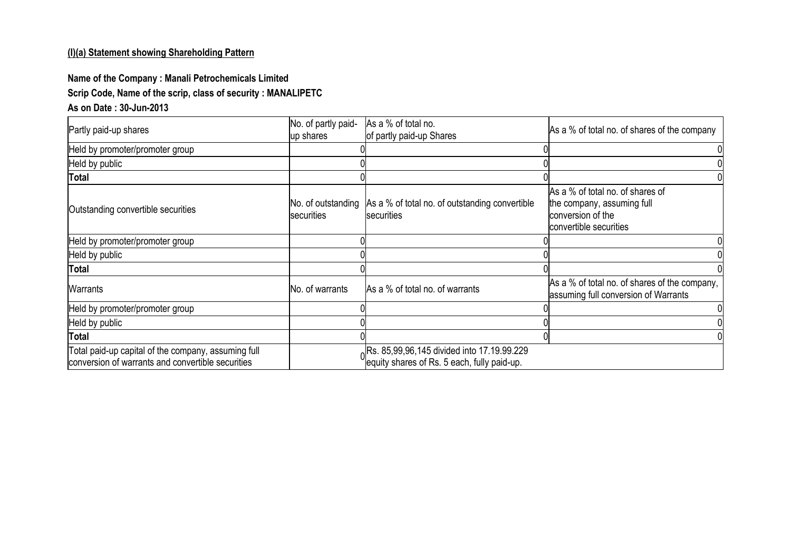## **(I)(a) Statement showing Shareholding Pattern**

## **Name of the Company : Manali Petrochemicals Limited Scrip Code, Name of the scrip, class of security : MANALIPETC**

## **As on Date : 30-Jun-2013**

| Partly paid-up shares                                                                                    | No. of partly paid-<br>up shares        | As a % of total no.<br>of partly paid-up Shares                                           | As a % of total no. of shares of the company                                                                  |
|----------------------------------------------------------------------------------------------------------|-----------------------------------------|-------------------------------------------------------------------------------------------|---------------------------------------------------------------------------------------------------------------|
| Held by promoter/promoter group                                                                          |                                         |                                                                                           |                                                                                                               |
| Held by public                                                                                           |                                         |                                                                                           |                                                                                                               |
| <b>Total</b>                                                                                             |                                         |                                                                                           |                                                                                                               |
| Outstanding convertible securities                                                                       | No. of outstanding<br><b>securities</b> | As a % of total no. of outstanding convertible<br>securities                              | As a % of total no. of shares of<br>the company, assuming full<br>conversion of the<br>convertible securities |
| Held by promoter/promoter group                                                                          |                                         |                                                                                           |                                                                                                               |
| Held by public                                                                                           |                                         |                                                                                           |                                                                                                               |
| <b>Total</b>                                                                                             |                                         |                                                                                           |                                                                                                               |
| Warrants                                                                                                 | No. of warrants                         | As a % of total no. of warrants                                                           | As a % of total no. of shares of the company,<br>assuming full conversion of Warrants                         |
| Held by promoter/promoter group                                                                          |                                         |                                                                                           |                                                                                                               |
| Held by public                                                                                           |                                         |                                                                                           |                                                                                                               |
| <b>Total</b>                                                                                             |                                         |                                                                                           |                                                                                                               |
| Total paid-up capital of the company, assuming full<br>conversion of warrants and convertible securities |                                         | Rs. 85,99,96,145 divided into 17.19.99.229<br>equity shares of Rs. 5 each, fully paid-up. |                                                                                                               |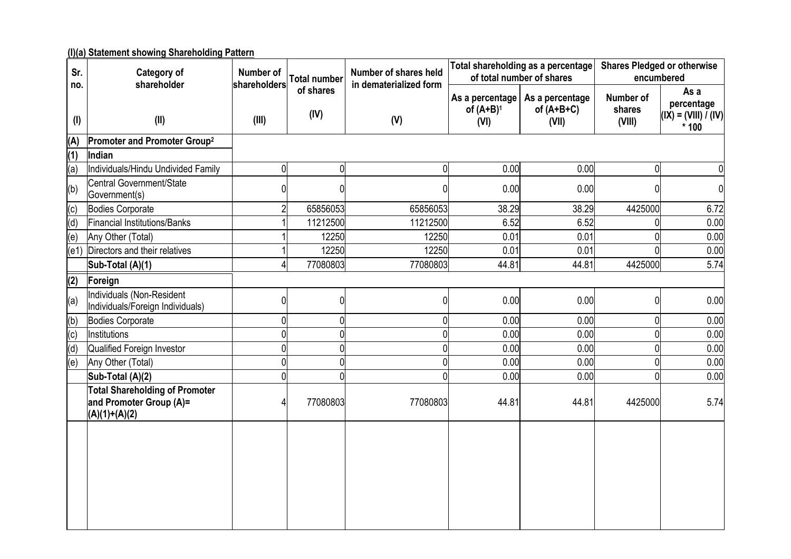## **(I)(a) Statement showing Shareholding Pattern**

| Sr.              | <b>Category of</b><br>shareholder                                                   | Number of<br>shareholders | <b>Total number</b> | Number of shares held<br>in dematerialized form |                                         | Total shareholding as a percentage<br>of total number of shares | <b>Shares Pledged or otherwise</b><br>encumbered |                                                        |  |  |
|------------------|-------------------------------------------------------------------------------------|---------------------------|---------------------|-------------------------------------------------|-----------------------------------------|-----------------------------------------------------------------|--------------------------------------------------|--------------------------------------------------------|--|--|
| no.<br>$($ l $)$ | (II)                                                                                | (III)                     | of shares<br>(IV)   | (V)                                             | As a percentage<br>of $(A+B)^1$<br>(VI) | As a percentage<br>of $(A+B+C)$<br>(VII)                        | Number of<br>shares<br>(VIII)                    | As a<br>percentage<br>$(IX) = (VIII) / (IV)$<br>$*100$ |  |  |
| (A)              | Promoter and Promoter Group <sup>2</sup>                                            |                           |                     |                                                 |                                         |                                                                 |                                                  |                                                        |  |  |
| (1)              | Indian                                                                              |                           |                     |                                                 |                                         |                                                                 |                                                  |                                                        |  |  |
| (a)              | Individuals/Hindu Undivided Family                                                  | 0                         | 0                   | 0                                               | 0.00                                    | 0.00                                                            | N                                                | 0                                                      |  |  |
| (b)              | Central Government/State<br>Government(s)                                           |                           | U                   |                                                 | 0.00                                    | 0.00                                                            |                                                  | $\overline{0}$                                         |  |  |
| (c)              | <b>Bodies Corporate</b>                                                             |                           | 65856053            | 65856053                                        | 38.29                                   | 38.29                                                           | 4425000                                          | 6.72                                                   |  |  |
| (d)              | Financial Institutions/Banks                                                        |                           | 11212500            | 11212500                                        | 6.52                                    | 6.52                                                            |                                                  | 0.00                                                   |  |  |
| (e)              | Any Other (Total)                                                                   |                           | 12250               | 12250                                           | 0.01                                    | 0.01                                                            |                                                  | 0.00                                                   |  |  |
|                  | (e1) Directors and their relatives                                                  |                           | 12250               | 12250                                           | 0.01                                    | 0.01                                                            |                                                  | 0.00                                                   |  |  |
|                  | Sub-Total (A)(1)                                                                    |                           | 77080803            | 77080803                                        | 44.81                                   | 44.81                                                           | 4425000                                          | 5.74                                                   |  |  |
| (2)              | Foreign                                                                             |                           |                     |                                                 |                                         |                                                                 |                                                  |                                                        |  |  |
| (a)              | Individuals (Non-Resident<br>Individuals/Foreign Individuals)                       | <sup>0</sup>              | 0                   | N                                               | 0.00                                    | 0.00                                                            | N                                                | 0.00                                                   |  |  |
| (b)              | <b>Bodies Corporate</b>                                                             | $\Omega$                  | Ŋ                   |                                                 | 0.00                                    | 0.00                                                            |                                                  | 0.00                                                   |  |  |
| (c)              | Institutions                                                                        | 0                         | 0                   |                                                 | 0.00                                    | 0.00                                                            |                                                  | 0.00                                                   |  |  |
| (d)              | Qualified Foreign Investor                                                          | $\mathbf{0}$              | 0                   |                                                 | 0.00                                    | 0.00                                                            |                                                  | 0.00                                                   |  |  |
| (e)              | Any Other (Total)                                                                   | $\mathbf{0}$              | 0                   |                                                 | 0.00                                    | 0.00                                                            |                                                  | 0.00                                                   |  |  |
|                  | Sub-Total (A)(2)                                                                    | $\Omega$                  | 0                   |                                                 | 0.00                                    | 0.00                                                            |                                                  | 0.00                                                   |  |  |
|                  | <b>Total Shareholding of Promoter</b><br>and Promoter Group (A)=<br>$(A)(1)+(A)(2)$ |                           | 77080803            | 77080803                                        | 44.81                                   | 44.81                                                           | 4425000                                          | 5.74                                                   |  |  |
|                  |                                                                                     |                           |                     |                                                 |                                         |                                                                 |                                                  |                                                        |  |  |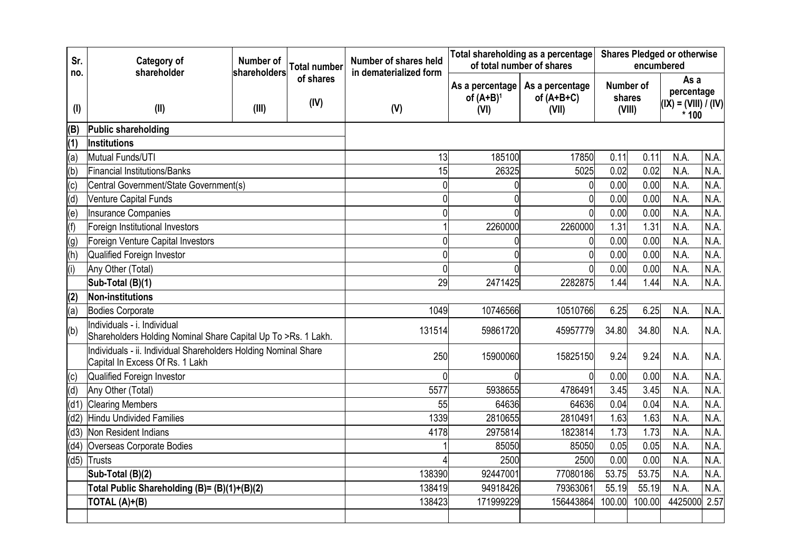| Sr.              | <b>Category of</b>                                                                           | Number of                                                       | <b>Total number</b> | Number of shares held         |                                 | Total shareholding as a percentage<br>of total number of shares | <b>Shares Pledged or otherwise</b><br>encumbered |           |                                              |      |
|------------------|----------------------------------------------------------------------------------------------|-----------------------------------------------------------------|---------------------|-------------------------------|---------------------------------|-----------------------------------------------------------------|--------------------------------------------------|-----------|----------------------------------------------|------|
| no.<br>$($ l $)$ | shareholder<br>(II)                                                                          | shareholders<br>(III)                                           | of shares<br>(IV)   | in dematerialized form<br>(V) | As a percentage<br>of $(A+B)^1$ | As a percentage<br>of $(A+B+C)$                                 | shares                                           | Number of | As a<br>percentage<br>$(IX) = (VIII) / (IV)$ |      |
|                  |                                                                                              |                                                                 |                     |                               | (VII)<br>(VI)                   |                                                                 | (VIII)                                           |           | $*100$                                       |      |
| (B)              | Public shareholding                                                                          |                                                                 |                     |                               |                                 |                                                                 |                                                  |           |                                              |      |
| (1)              | Institutions                                                                                 |                                                                 |                     |                               |                                 |                                                                 |                                                  |           |                                              |      |
| (a)              | Mutual Funds/UTI                                                                             |                                                                 |                     | 13                            | 185100                          | 17850                                                           | 0.11                                             | 0.11      | N.A.                                         | N.A. |
| (b)              | Financial Institutions/Banks                                                                 |                                                                 |                     | 15                            | 26325                           | 5025                                                            | 0.02                                             | 0.02      | N.A.                                         | N.A. |
| (c)              | Central Government/State Government(s)                                                       |                                                                 |                     | 0                             |                                 | 0                                                               | 0.00                                             | 0.00      | N.A.                                         | N.A. |
| (d)              | Venture Capital Funds                                                                        |                                                                 |                     | 0                             |                                 | 0                                                               | 0.00                                             | 0.00      | N.A.                                         | N.A. |
| (e)              | <b>Insurance Companies</b>                                                                   |                                                                 |                     | 0                             |                                 |                                                                 | 0.00                                             | 0.00      | N.A.                                         | N.A. |
| (f)              | Foreign Institutional Investors                                                              |                                                                 |                     |                               | 2260000                         | 2260000                                                         | 1.31                                             | 1.31      | N.A.                                         | N.A. |
| (g)              | Foreign Venture Capital Investors                                                            |                                                                 |                     |                               | 0                               | $\mathbf 0$                                                     | 0.00                                             | 0.00      | N.A.                                         | N.A. |
| (h)              | Qualified Foreign Investor                                                                   |                                                                 | 0                   |                               | 0                               | 0.00                                                            | 0.00                                             | N.A.      | N.A.                                         |      |
| (i)              | Any Other (Total)                                                                            |                                                                 | $\overline{0}$      |                               | O                               | 0.00                                                            | 0.00                                             | N.A.      | N.A.                                         |      |
|                  | Sub-Total (B)(1)                                                                             |                                                                 |                     | 29                            | 2471425                         | 2282875                                                         | 1.44                                             | 1.44      | N.A.                                         | N.A. |
| (2)              | Non-institutions                                                                             |                                                                 |                     |                               |                                 |                                                                 |                                                  |           |                                              |      |
| (a)              | <b>Bodies Corporate</b>                                                                      |                                                                 |                     | 1049                          | 10746566                        | 10510766                                                        | 6.25                                             | 6.25      | N.A.                                         | N.A. |
| (b)              | Individuals - i. Individual<br>Shareholders Holding Nominal Share Capital Up To >Rs. 1 Lakh. |                                                                 |                     | 131514                        | 59861720                        | 45957779                                                        | 34.80                                            | 34.80     | N.A.                                         | N.A. |
|                  | Capital In Excess Of Rs. 1 Lakh                                                              | Individuals - ii. Individual Shareholders Holding Nominal Share |                     | 250                           | 15900060                        | 15825150                                                        | 9.24                                             | 9.24      | N.A.                                         | N.A. |
| (c)              | Qualified Foreign Investor                                                                   |                                                                 |                     | N                             |                                 | $\Omega$                                                        | 0.00                                             | 0.00      | N.A.                                         | N.A. |
| (d)              | Any Other (Total)                                                                            |                                                                 |                     | 5577                          | 5938655                         | 4786491                                                         | 3.45                                             | 3.45      | N.A.                                         | N.A. |
| (d1)             | <b>Clearing Members</b>                                                                      |                                                                 |                     | 55                            | 64636                           | 64636                                                           | 0.04                                             | 0.04      | N.A.                                         | N.A. |
| (d2)             | <b>Hindu Undivided Families</b>                                                              |                                                                 |                     | 1339                          | 2810655                         | 2810491                                                         | 1.63                                             | 1.63      | N.A.                                         | N.A. |
| (d3)             | Non Resident Indians                                                                         |                                                                 |                     | 4178                          | 2975814                         | 1823814                                                         | 1.73                                             | 1.73      | N.A.                                         | N.A. |
| (d4)             | Overseas Corporate Bodies                                                                    |                                                                 |                     |                               | 85050                           | 85050                                                           | 0.05                                             | 0.05      | N.A.                                         | N.A. |
| (d5)             | Trusts                                                                                       |                                                                 |                     |                               | 2500                            | 2500                                                            | 0.00                                             | 0.00      | N.A.                                         | N.A. |
|                  | Sub-Total (B)(2)                                                                             |                                                                 |                     | 138390                        | 92447001                        | 77080186                                                        | 53.75                                            | 53.75     | N.A.                                         | N.A. |
|                  | Total Public Shareholding (B)= (B)(1)+(B)(2)                                                 |                                                                 |                     | 138419                        | 94918426                        | 79363061                                                        | 55.19                                            | 55.19     | N.A.                                         | N.A. |
|                  | TOTAL (A)+(B)                                                                                |                                                                 |                     | 138423                        | 171999229                       | 156443864                                                       | 100.00                                           | 100.00    | 4425000                                      | 2.57 |
|                  |                                                                                              |                                                                 |                     |                               |                                 |                                                                 |                                                  |           |                                              |      |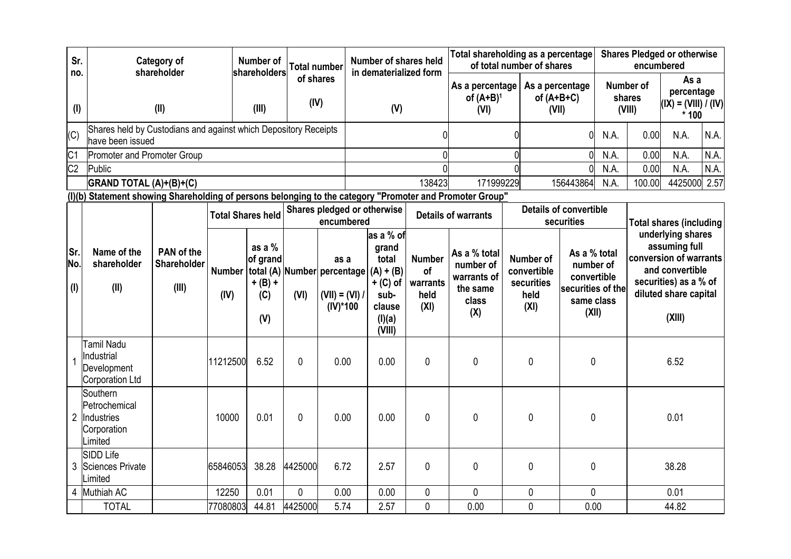| Sr.               |                                                                                                          | <b>Category of</b><br>shareholder  |          | <b>Number of</b>                                                                          |                   | <b>Total number</b>                     | Number of shares held<br>in dematerialized form |                                                                                                |                                                 | Total shareholding as a percentage<br>of total number of shares      |                                          |                                                        | <b>Shares Pledged or otherwise</b><br>encumbered                                     |      |                                                                                                                                             |         |                                |  |
|-------------------|----------------------------------------------------------------------------------------------------------|------------------------------------|----------|-------------------------------------------------------------------------------------------|-------------------|-----------------------------------------|-------------------------------------------------|------------------------------------------------------------------------------------------------|-------------------------------------------------|----------------------------------------------------------------------|------------------------------------------|--------------------------------------------------------|--------------------------------------------------------------------------------------|------|---------------------------------------------------------------------------------------------------------------------------------------------|---------|--------------------------------|--|
| no.<br>(1)        |                                                                                                          | (II)                               |          | shareholders<br>(III)                                                                     | of shares<br>(IV) |                                         | (V)                                             |                                                                                                | As a percentage<br>of $(A+B)^1$<br>(VI)         |                                                                      | As a percentage<br>of $(A+B+C)$<br>(VII) |                                                        | Number of<br>shares<br>(VIII)                                                        |      | As a<br>percentage<br>$ (IX) = (VIII) / (IV) $<br>$*100$                                                                                    |         |                                |  |
| (C)               | Shares held by Custodians and against which Depository Receipts<br>have been issued                      |                                    |          |                                                                                           |                   |                                         |                                                 |                                                                                                |                                                 |                                                                      |                                          | $\overline{0}$                                         | N.A.                                                                                 | 0.00 | N.A.<br>N.A.                                                                                                                                |         |                                |  |
| C <sub>1</sub>    | <b>Promoter and Promoter Group</b>                                                                       |                                    |          |                                                                                           |                   |                                         |                                                 |                                                                                                |                                                 |                                                                      |                                          |                                                        | 0                                                                                    | N.A. | 0.00                                                                                                                                        | N.A.    | N.A.                           |  |
| C <sub>2</sub>    | Public                                                                                                   |                                    |          |                                                                                           |                   |                                         |                                                 |                                                                                                |                                                 |                                                                      |                                          |                                                        | $\Omega$                                                                             | N.A. | 0.00                                                                                                                                        | N.A.    | N.A.                           |  |
|                   | GRAND TOTAL (A)+(B)+(C)                                                                                  |                                    |          |                                                                                           |                   |                                         |                                                 |                                                                                                | 138423                                          | 171999229                                                            |                                          |                                                        | 156443864                                                                            | N.A. | 100.00                                                                                                                                      | 4425000 | 2.57                           |  |
|                   | (I)(b) Statement showing Shareholding of persons belonging to the category "Promoter and Promoter Group" |                                    |          |                                                                                           |                   |                                         |                                                 |                                                                                                |                                                 |                                                                      |                                          |                                                        |                                                                                      |      |                                                                                                                                             |         |                                |  |
|                   |                                                                                                          |                                    |          | <b>Total Shares held</b>                                                                  |                   | encumbered                              |                                                 | Shares pledged or otherwise                                                                    | <b>Details of warrants</b>                      |                                                                      |                                          | <b>Details of convertible</b><br>securities            |                                                                                      |      |                                                                                                                                             |         | <b>Total shares (including</b> |  |
| Sr.<br>No.<br>(1) | Name of the<br>shareholder<br>(II)                                                                       | PAN of the<br>Shareholder<br>(III) | (IV)     | as a %<br>of grand<br>Number   total (A)   Number   percentage<br>$+ (B) +$<br>(C)<br>(V) | (VI)              | as a<br>$(VII) = (VI) /$<br>$(IV)^*100$ |                                                 | as a % of<br>grand<br>total<br>$(A) + (B)$<br>$+$ (C) of<br>sub-<br>clause<br>(I)(a)<br>(VIII) | <b>Number</b><br>of<br>warrants<br>held<br>(XI) | As a % total<br>number of<br>warrants of<br>the same<br>class<br>(X) |                                          | Number of<br>convertible<br>securities<br>held<br>(XI) | As a % total<br>number of<br>convertible<br>securities of the<br>same class<br>(XII) |      | underlying shares<br>assuming full<br>conversion of warrants<br>and convertible<br>securities) as a % of<br>diluted share capital<br>(XIII) |         |                                |  |
|                   | Tamil Nadu<br>Industrial<br>Development<br>Corporation Ltd                                               |                                    | 11212500 | 6.52                                                                                      | $\mathbf{0}$      | 0.00                                    |                                                 | 0.00                                                                                           | 0                                               | $\mathbf 0$                                                          |                                          | $\mathbf{0}$                                           | 0                                                                                    |      |                                                                                                                                             | 6.52    |                                |  |
| $\overline{2}$    | Southern<br>Petrochemical<br>Industries<br>Corporation<br>Limited                                        |                                    | 10000    | 0.01                                                                                      | $\theta$          | 0.00                                    |                                                 | 0.00                                                                                           | 0                                               | $\mathbf{0}$                                                         |                                          | $\Omega$                                               | 0                                                                                    |      |                                                                                                                                             | 0.01    |                                |  |
| 3                 | <b>SIDD Life</b><br>Sciences Private<br>Limited                                                          |                                    | 65846053 | 38.28                                                                                     | 4425000           | 6.72                                    |                                                 | 2.57                                                                                           | 0                                               | 0                                                                    |                                          | $\mathbf{0}$                                           | 0                                                                                    |      |                                                                                                                                             | 38.28   |                                |  |
|                   | 4 Muthiah AC                                                                                             |                                    | 12250    | 0.01                                                                                      | $\mathbf{0}$      | 0.00                                    |                                                 | 0.00                                                                                           | 0                                               | 0                                                                    |                                          | 0                                                      | 0                                                                                    |      |                                                                                                                                             | 0.01    |                                |  |
|                   | <b>TOTAL</b>                                                                                             |                                    | 77080803 | 44.81                                                                                     | 4425000           | 5.74                                    |                                                 | 2.57                                                                                           | 0                                               | 0.00                                                                 |                                          | $\mathbf 0$                                            | 0.00                                                                                 |      |                                                                                                                                             | 44.82   |                                |  |